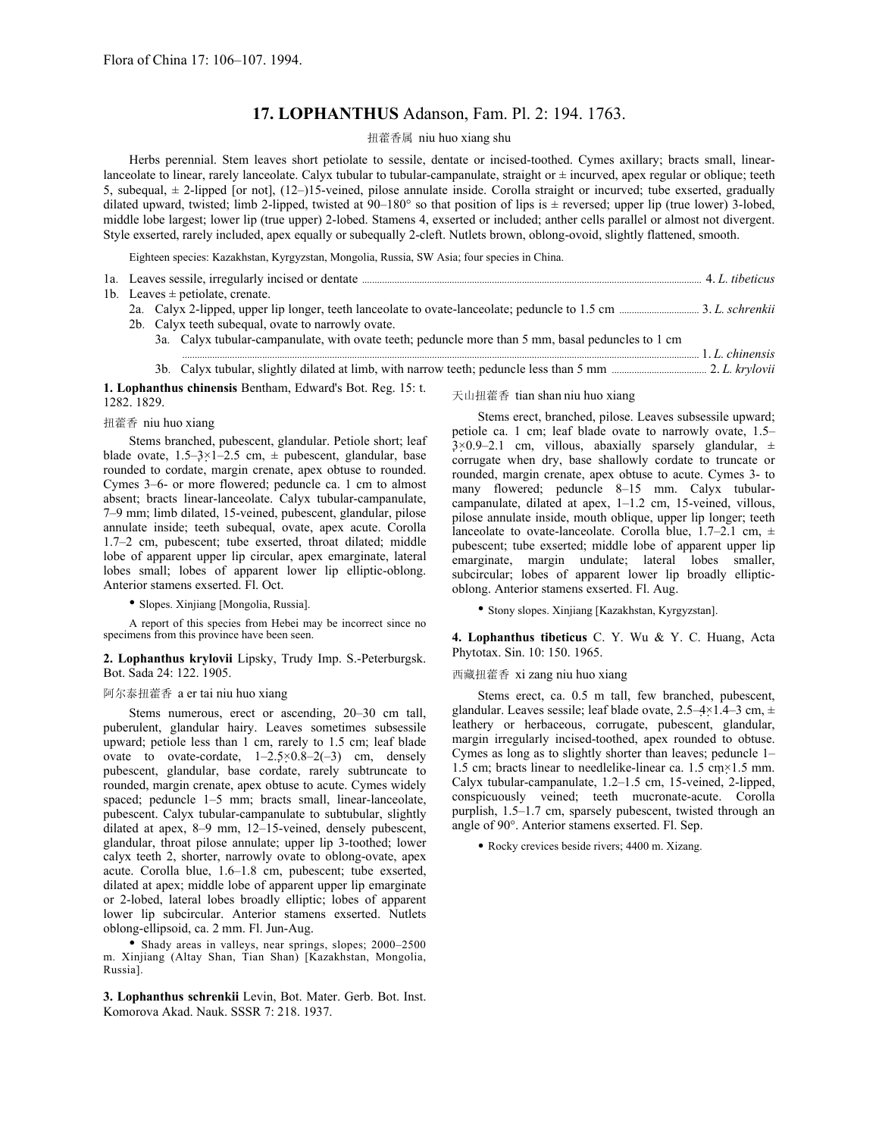# **17. LOPHANTHUS** Adanson, Fam. Pl. 2: 194. 1763.

### 扭藿香属 niu huo xiang shu

Herbs perennial. Stem leaves short petiolate to sessile, dentate or incised-toothed. Cymes axillary; bracts small, linearlanceolate to linear, rarely lanceolate. Calyx tubular to tubular-campanulate, straight or  $\pm$  incurved, apex regular or oblique; teeth 5, subequal, ± 2-lipped [or not], (12–)15-veined, pilose annulate inside. Corolla straight or incurved; tube exserted, gradually dilated upward, twisted; limb 2-lipped, twisted at  $90-180^\circ$  so that position of lips is  $\pm$  reversed; upper lip (true lower) 3-lobed, middle lobe largest; lower lip (true upper) 2-lobed. Stamens 4, exserted or included; anther cells parallel or almost not divergent. Style exserted, rarely included, apex equally or subequally 2-cleft. Nutlets brown, oblong-ovoid, slightly flattened, smooth.

Eighteen species: Kazakhstan, Kyrgyzstan, Mongolia, Russia, SW Asia; four species in China.

| 1b. Leaves $\pm$ petiolate, crenate. |  |
|--------------------------------------|--|

- 2a. Calyx 2-lipped, upper lip longer, teeth lanceolate to ovate-lanceolate; peduncle to 1.5 cm ................................ 3. *L. schrenkii*
- 2b. Calyx teeth subequal, ovate to narrowly ovate.
	- 3a. Calyx tubular-campanulate, with ovate teeth; peduncle more than 5 mm, basal peduncles to 1 cm

 ............................................................................................................................................................................................................... 1. *L. chinensis* 3b. Calyx tubular, slightly dilated at limb, with narrow teeth; peduncle less than 5 mm ...................................... 2. *L. krylovii* 

**1. Lophanthus chinensis** Bentham, Edward's Bot. Reg. 15: t. 1282. 1829.

### 扭藿香 niu huo xiang

Stems branched, pubescent, glandular. Petiole short; leaf blade ovate,  $1.5-3\times1-2.5$  cm,  $\pm$  pubescent, glandular, base rounded to cordate, margin crenate, apex obtuse to rounded. Cymes 3–6- or more flowered; peduncle ca. 1 cm to almost absent; bracts linear-lanceolate. Calyx tubular-campanulate, 7–9 mm; limb dilated, 15-veined, pubescent, glandular, pilose annulate inside; teeth subequal, ovate, apex acute. Corolla 1.7–2 cm, pubescent; tube exserted, throat dilated; middle lobe of apparent upper lip circular, apex emarginate, lateral lobes small; lobes of apparent lower lip elliptic-oblong. Anterior stamens exserted. Fl. Oct.

• Slopes. Xinjiang [Mongolia, Russia].

A report of this species from Hebei may be incorrect since no specimens from this province have been seen.

### **2. Lophanthus krylovii** Lipsky, Trudy Imp. S.-Peterburgsk. Bot. Sada 24: 122. 1905.

#### 阿尔泰扭藿香 a er tai niu huo xiang

Stems numerous, erect or ascending, 20–30 cm tall, puberulent, glandular hairy. Leaves sometimes subsessile upward; petiole less than 1 cm, rarely to 1.5 cm; leaf blade ovate to ovate-cordate,  $1-2.5\times0.8-2(-3)$  cm, densely pubescent, glandular, base cordate, rarely subtruncate to rounded, margin crenate, apex obtuse to acute. Cymes widely spaced; peduncle 1–5 mm; bracts small, linear-lanceolate, pubescent. Calyx tubular-campanulate to subtubular, slightly dilated at apex, 8–9 mm, 12–15-veined, densely pubescent, glandular, throat pilose annulate; upper lip 3-toothed; lower calyx teeth 2, shorter, narrowly ovate to oblong-ovate, apex acute. Corolla blue, 1.6–1.8 cm, pubescent; tube exserted, dilated at apex; middle lobe of apparent upper lip emarginate or 2-lobed, lateral lobes broadly elliptic; lobes of apparent lower lip subcircular. Anterior stamens exserted. Nutlets oblong-ellipsoid, ca. 2 mm. Fl. Jun-Aug.

• Shady areas in valleys, near springs, slopes; 2000–2500 m. Xinjiang (Altay Shan, Tian Shan) [Kazakhstan, Mongolia, Russia].

**3. Lophanthus schrenkii** Levin, Bot. Mater. Gerb. Bot. Inst. Komorova Akad. Nauk. SSSR 7: 218. 1937.

天山扭藿香 tian shan niu huo xiang

Stems erect, branched, pilose. Leaves subsessile upward; petiole ca. 1 cm; leaf blade ovate to narrowly ovate, 1.5–  $3 \times 0.9 - 2.1$  cm, villous, abaxially sparsely glandular,  $\pm$ corrugate when dry, base shallowly cordate to truncate or rounded, margin crenate, apex obtuse to acute. Cymes 3- to many flowered; peduncle 8–15 mm. Calyx tubularcampanulate, dilated at apex, 1–1.2 cm, 15-veined, villous, pilose annulate inside, mouth oblique, upper lip longer; teeth lanceolate to ovate-lanceolate. Corolla blue,  $1.7-2.1$  cm,  $\pm$ pubescent; tube exserted; middle lobe of apparent upper lip emarginate, margin undulate; lateral lobes smaller, subcircular; lobes of apparent lower lip broadly ellipticoblong. Anterior stamens exserted. Fl. Aug.

• Stony slopes. Xinjiang [Kazakhstan, Kyrgyzstan].

**4. Lophanthus tibeticus** C. Y. Wu & Y. C. Huang, Acta Phytotax. Sin. 10: 150. 1965.

#### 西藏扭藿香 xi zang niu huo xiang

Stems erect, ca. 0.5 m tall, few branched, pubescent, glandular. Leaves sessile; leaf blade ovate, 2.5–4×1.4–3 cm, ± leathery or herbaceous, corrugate, pubescent, glandular, margin irregularly incised-toothed, apex rounded to obtuse. Cymes as long as to slightly shorter than leaves; peduncle 1– 1.5 cm; bracts linear to needlelike-linear ca. 1.5 cm×1.5 mm. Calyx tubular-campanulate, 1.2–1.5 cm, 15-veined, 2-lipped, conspicuously veined; teeth mucronate-acute. Corolla purplish, 1.5–1.7 cm, sparsely pubescent, twisted through an angle of 90°. Anterior stamens exserted. Fl. Sep.

• Rocky crevices beside rivers; 4400 m. Xizang.